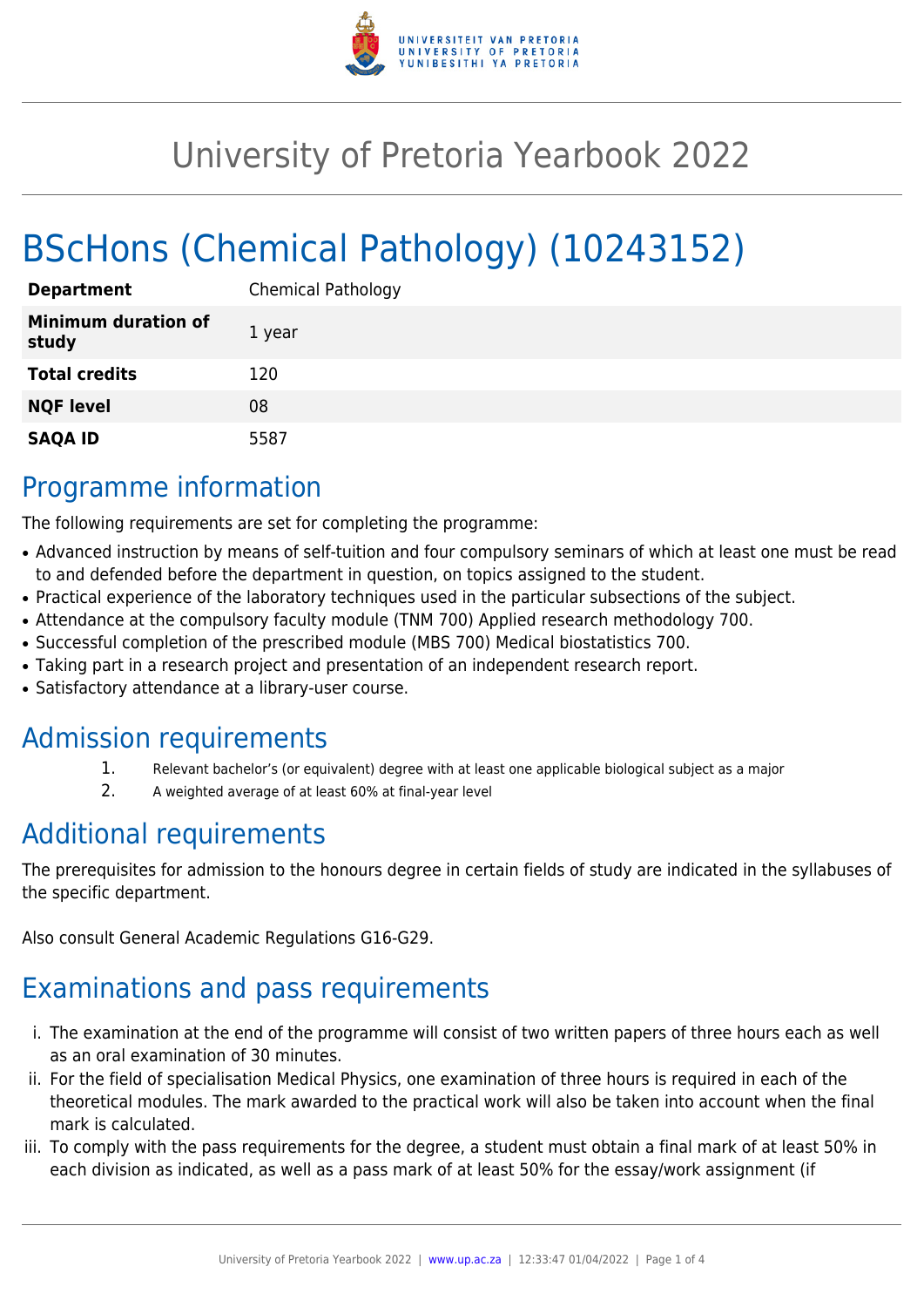

## University of Pretoria Yearbook 2022

# BScHons (Chemical Pathology) (10243152)

| <b>Department</b>                   | <b>Chemical Pathology</b> |
|-------------------------------------|---------------------------|
| <b>Minimum duration of</b><br>study | 1 year                    |
| <b>Total credits</b>                | 120                       |
| <b>NQF level</b>                    | 08                        |
| <b>SAQA ID</b>                      | 5587                      |

### Programme information

The following requirements are set for completing the programme:

- Advanced instruction by means of self-tuition and four compulsory seminars of which at least one must be read to and defended before the department in question, on topics assigned to the student.
- Practical experience of the laboratory techniques used in the particular subsections of the subject.
- Attendance at the compulsory faculty module (TNM 700) Applied research methodology 700.
- Successful completion of the prescribed module (MBS 700) Medical biostatistics 700.
- Taking part in a research project and presentation of an independent research report.
- Satisfactory attendance at a library-user course.

#### Admission requirements

- 1. Relevant bachelor's (or equivalent) degree with at least one applicable biological subject as a major
- 2. A weighted average of at least 60% at final-year level

### Additional requirements

The prerequisites for admission to the honours degree in certain fields of study are indicated in the syllabuses of the specific department.

Also consult General Academic Regulations G16-G29.

## Examinations and pass requirements

- i. The examination at the end of the programme will consist of two written papers of three hours each as well as an oral examination of 30 minutes.
- ii. For the field of specialisation Medical Physics, one examination of three hours is required in each of the theoretical modules. The mark awarded to the practical work will also be taken into account when the final mark is calculated.
- iii. To comply with the pass requirements for the degree, a student must obtain a final mark of at least 50% in each division as indicated, as well as a pass mark of at least 50% for the essay/work assignment (if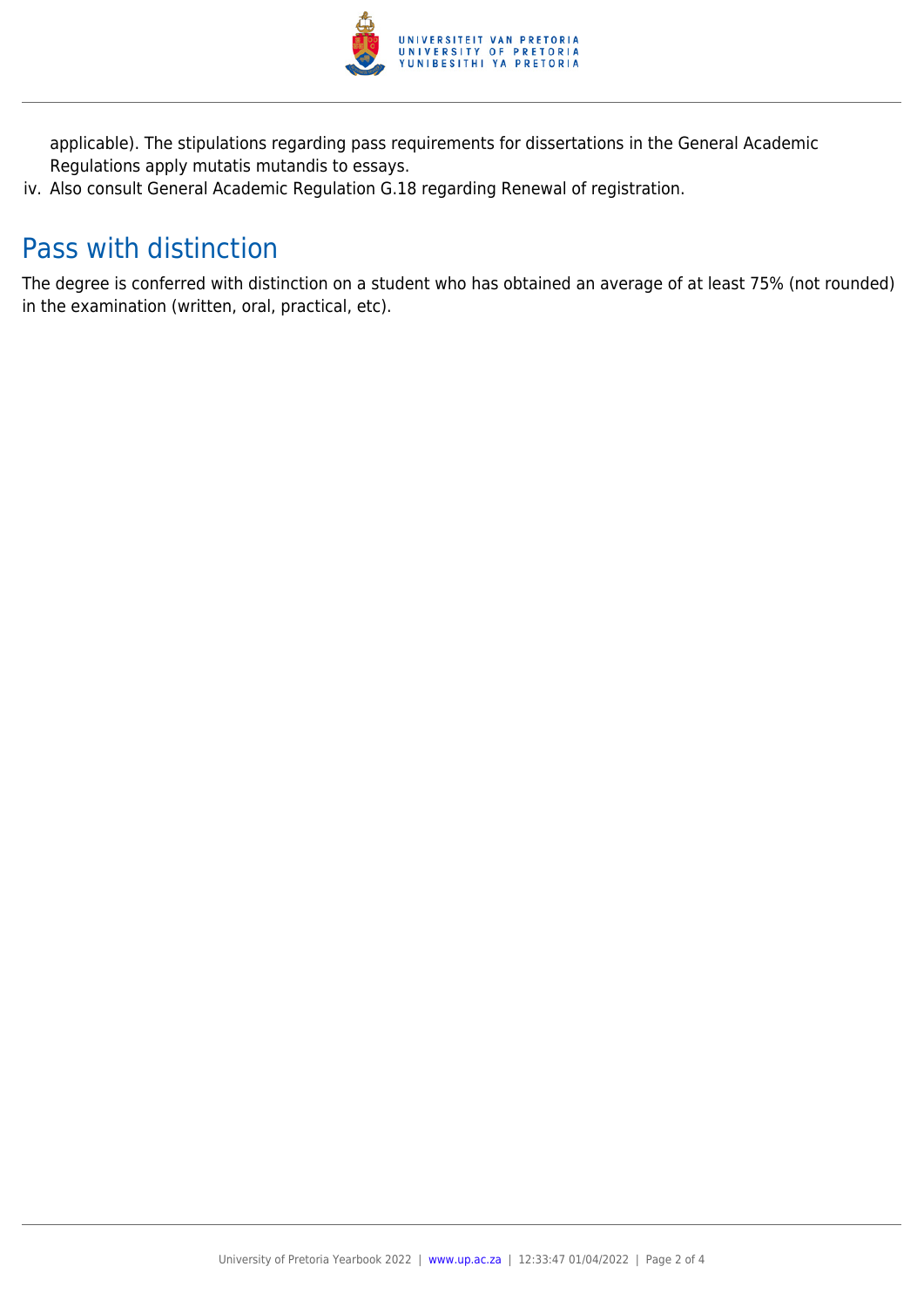

applicable). The stipulations regarding pass requirements for dissertations in the General Academic Regulations apply mutatis mutandis to essays.

iv. Also consult General Academic Regulation G.18 regarding Renewal of registration.

### Pass with distinction

The degree is conferred with distinction on a student who has obtained an average of at least 75% (not rounded) in the examination (written, oral, practical, etc).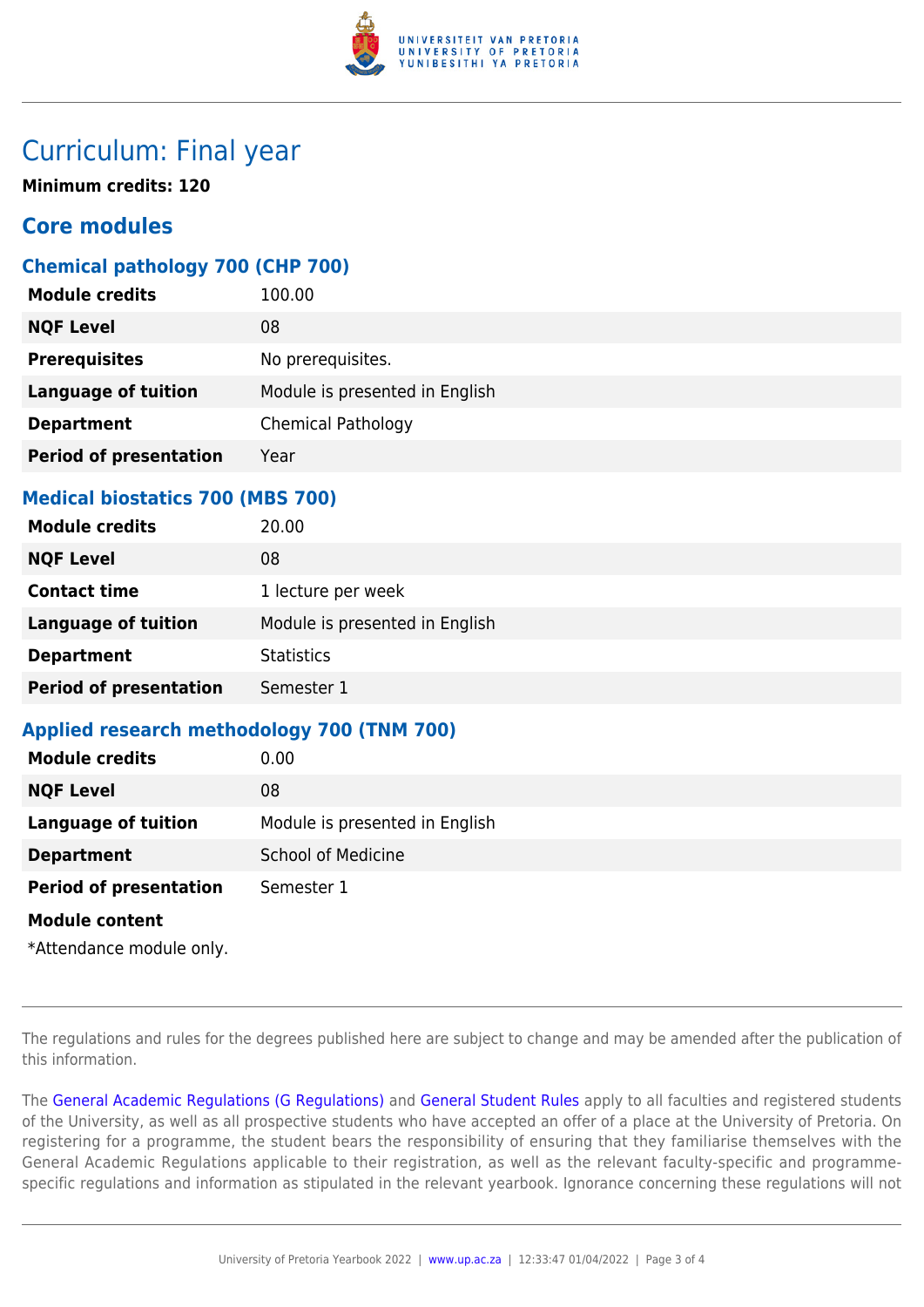

#### Curriculum: Final year

**Minimum credits: 120**

#### **Core modules**

#### **Chemical pathology 700 (CHP 700)**

| <b>Module credits</b>         | 100.00                         |
|-------------------------------|--------------------------------|
| <b>NQF Level</b>              | 08                             |
| <b>Prerequisites</b>          | No prerequisites.              |
| <b>Language of tuition</b>    | Module is presented in English |
| <b>Department</b>             | <b>Chemical Pathology</b>      |
| <b>Period of presentation</b> | Year                           |
|                               |                                |

#### **Medical biostatics 700 (MBS 700)**

| <b>Module credits</b>         | 20.00                          |
|-------------------------------|--------------------------------|
| <b>NQF Level</b>              | 08                             |
| <b>Contact time</b>           | 1 lecture per week             |
| <b>Language of tuition</b>    | Module is presented in English |
| <b>Department</b>             | <b>Statistics</b>              |
| <b>Period of presentation</b> | Semester 1                     |

#### **Applied research methodology 700 (TNM 700)**

| <b>Module credits</b>         | 0.00                           |
|-------------------------------|--------------------------------|
| <b>NQF Level</b>              | 08                             |
| <b>Language of tuition</b>    | Module is presented in English |
| <b>Department</b>             | <b>School of Medicine</b>      |
| <b>Period of presentation</b> | Semester 1                     |
| <b>Module content</b>         |                                |

\*Attendance module only.

The regulations and rules for the degrees published here are subject to change and may be amended after the publication of this information.

The [General Academic Regulations \(G Regulations\)](https://www.up.ac.za/yearbooks/2022/rules/view/REG) and [General Student Rules](https://www.up.ac.za/yearbooks/2022/rules/view/RUL) apply to all faculties and registered students of the University, as well as all prospective students who have accepted an offer of a place at the University of Pretoria. On registering for a programme, the student bears the responsibility of ensuring that they familiarise themselves with the General Academic Regulations applicable to their registration, as well as the relevant faculty-specific and programmespecific regulations and information as stipulated in the relevant yearbook. Ignorance concerning these regulations will not